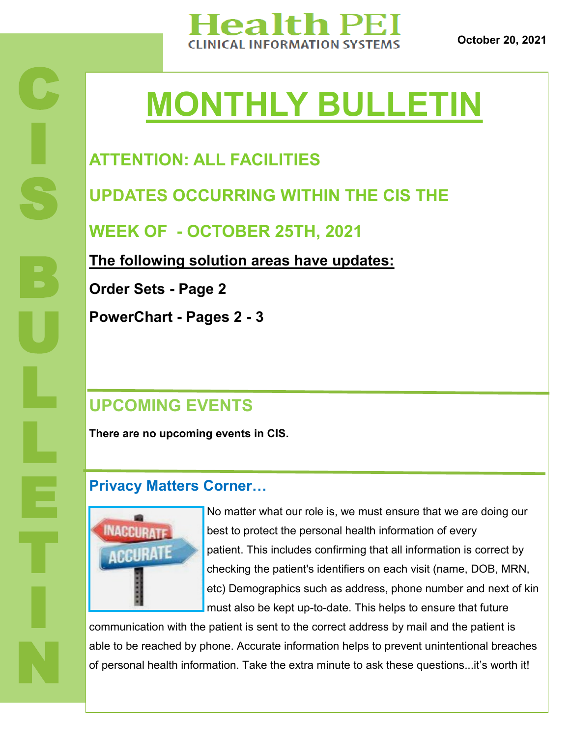

**October 20, 2021**

# **MONTHLY BULLETIN**

# **ATTENTION: ALL FACILITIES**

**UPDATES OCCURRING WITHIN THE CIS THE** 

**WEEK OF - OCTOBER 25TH, 2021**

**The following solution areas have updates:**

**Order Sets - Page 2**

**PowerChart - Pages 2 - 3**

## **UPCOMING EVENTS**

**There are no upcoming events in CIS.** 

#### **Privacy Matters Corner…**



No matter what our role is, we must ensure that we are doing our best to protect the personal health information of every patient. This includes confirming that all information is correct by checking the patient's identifiers on each visit (name, DOB, MRN, etc) Demographics such as address, phone number and next of kin must also be kept up-to-date. This helps to ensure that future

communication with the patient is sent to the correct address by mail and the patient is able to be reached by phone. Accurate information helps to prevent unintentional breaches of personal health information. Take the extra minute to ask these questions...it's worth it!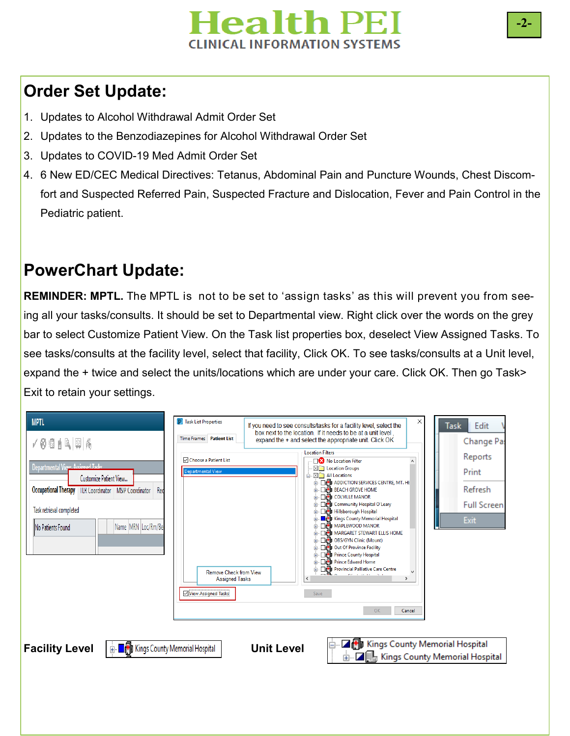

## **Order Set Update:**

- 1. Updates to Alcohol Withdrawal Admit Order Set
- 2. Updates to the Benzodiazepines for Alcohol Withdrawal Order Set
- 3. Updates to COVID-19 Med Admit Order Set
- 4. 6 New ED/CEC Medical Directives: Tetanus, Abdominal Pain and Puncture Wounds, Chest Discomfort and Suspected Referred Pain, Suspected Fracture and Dislocation, Fever and Pain Control in the Pediatric patient.

### **PowerChart Update:**

**REMINDER: MPTL.** The MPTL is not to be set to 'assign tasks' as this will prevent you from seeing all your tasks/consults. It should be set to Departmental view. Right click over the words on the grey bar to select Customize Patient View. On the Task list properties box, deselect View Assigned Tasks. To see tasks/consults at the facility level, select that facility, Click OK. To see tasks/consults at a Unit level, expand the + twice and select the units/locations which are under your care. Click OK. Then go Task> Exit to retain your settings.